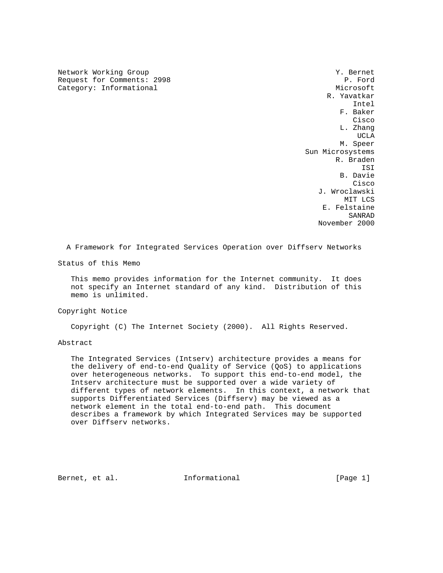Network Working Group 7 (1999) 2012 12:30 Network Working Group 30 1999 2013 Request for Comments: 2998 P. Ford Category: Informational Microsoft Microsoft Microsoft Microsoft

 R. Yavatkar Intel F. Baker **Cisco de la contrata de la contrata de la contrata de la contrata de la contrata de la contrata de la contrat**  L. Zhang UCLA AND LOCAL CONTRACT OF THE SECOND COMPANY OF THE SECOND SECOND SECOND SECOND SECOND SECOND SECOND SECOND SECOND SECOND SECOND SECOND SECOND SECOND SECOND SECOND SECOND SECOND SECOND SECOND SECOND SECOND SECOND SECOND S M. Speer Sun Microsystems R. Braden ISI B. Davie **Cisco Cisco de Serviço de Serviço de Serviço de Serviço de Serviço de Serviço de Serviço de Serviço de Serviço**  J. Wroclawski MIT LCS E. Felstaine SANRAD November 2000

A Framework for Integrated Services Operation over Diffserv Networks

Status of this Memo

 This memo provides information for the Internet community. It does not specify an Internet standard of any kind. Distribution of this memo is unlimited.

Copyright Notice

Copyright (C) The Internet Society (2000). All Rights Reserved.

Abstract

 The Integrated Services (Intserv) architecture provides a means for the delivery of end-to-end Quality of Service (QoS) to applications over heterogeneous networks. To support this end-to-end model, the Intserv architecture must be supported over a wide variety of different types of network elements. In this context, a network that supports Differentiated Services (Diffserv) may be viewed as a network element in the total end-to-end path. This document describes a framework by which Integrated Services may be supported over Diffserv networks.

Bernet, et al. Informational [Page 1]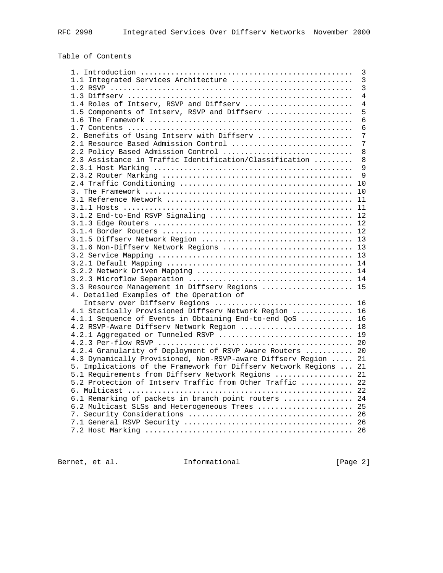# Table of Contents

|                                                                   | 3              |
|-------------------------------------------------------------------|----------------|
| 1.1 Integrated Services Architecture                              | $\overline{3}$ |
|                                                                   | 3              |
|                                                                   | $\overline{4}$ |
| 1.4 Roles of Intserv, RSVP and Diffserv                           | $\overline{4}$ |
| 1.5 Components of Intserv, RSVP and Diffserv                      | 5              |
|                                                                   | 6              |
|                                                                   | 6              |
| 2. Benefits of Using Intserv with Diffserv                        | 7              |
| 2.1 Resource Based Admission Control                              | 7              |
| 2.2 Policy Based Admission Control                                | 8              |
| 2.3 Assistance in Traffic Identification/Classification           | 8              |
|                                                                   | 9              |
|                                                                   | 9              |
|                                                                   |                |
|                                                                   |                |
|                                                                   |                |
|                                                                   |                |
|                                                                   |                |
|                                                                   |                |
|                                                                   |                |
|                                                                   |                |
| 3.1.6 Non-Diffserv Network Regions  13                            |                |
|                                                                   |                |
|                                                                   |                |
|                                                                   |                |
|                                                                   |                |
| 3.3 Resource Management in Diffserv Regions  15                   |                |
| 4. Detailed Examples of the Operation of                          |                |
|                                                                   |                |
| 4.1 Statically Provisioned Diffserv Network Region  16            |                |
| 4.1.1 Sequence of Events in Obtaining End-to-end QoS  16          |                |
| 4.2 RSVP-Aware Diffserv Network Region  18                        |                |
| 4.2.1 Aggregated or Tunneled RSVP  19                             |                |
|                                                                   |                |
| 4.2.4 Granularity of Deployment of RSVP Aware Routers  20         |                |
| 4.3 Dynamically Provisioned, Non-RSVP-aware Diffserv Region  21   |                |
| 5. Implications of the Framework for Diffserv Network Regions  21 |                |
| 5.1 Requirements from Diffserv Network Regions  21                |                |
| 5.2 Protection of Intserv Traffic from Other Traffic  22          |                |
|                                                                   |                |
| 6.1 Remarking of packets in branch point routers  24              |                |
| 6.2 Multicast SLSs and Heterogeneous Trees  25                    |                |
|                                                                   |                |
|                                                                   |                |
|                                                                   |                |
|                                                                   |                |

Bernet, et al. 1nformational [Page 2]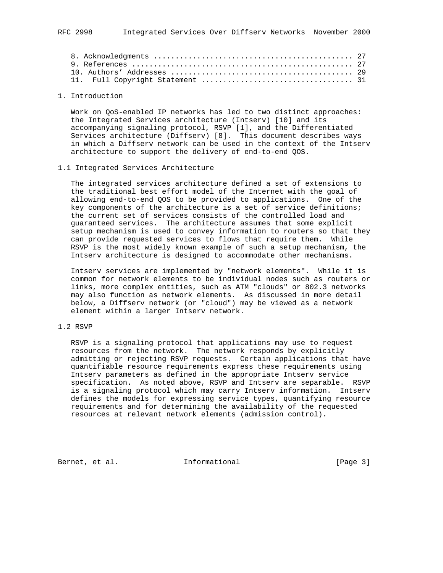#### 1. Introduction

 Work on QoS-enabled IP networks has led to two distinct approaches: the Integrated Services architecture (Intserv) [10] and its accompanying signaling protocol, RSVP [1], and the Differentiated Services architecture (Diffserv) [8]. This document describes ways in which a Diffserv network can be used in the context of the Intserv architecture to support the delivery of end-to-end QOS.

#### 1.1 Integrated Services Architecture

 The integrated services architecture defined a set of extensions to the traditional best effort model of the Internet with the goal of allowing end-to-end QOS to be provided to applications. One of the key components of the architecture is a set of service definitions; the current set of services consists of the controlled load and guaranteed services. The architecture assumes that some explicit setup mechanism is used to convey information to routers so that they can provide requested services to flows that require them. While RSVP is the most widely known example of such a setup mechanism, the Intserv architecture is designed to accommodate other mechanisms.

 Intserv services are implemented by "network elements". While it is common for network elements to be individual nodes such as routers or links, more complex entities, such as ATM "clouds" or 802.3 networks may also function as network elements. As discussed in more detail below, a Diffserv network (or "cloud") may be viewed as a network element within a larger Intserv network.

## 1.2 RSVP

 RSVP is a signaling protocol that applications may use to request resources from the network. The network responds by explicitly admitting or rejecting RSVP requests. Certain applications that have quantifiable resource requirements express these requirements using Intserv parameters as defined in the appropriate Intserv service specification. As noted above, RSVP and Intserv are separable. RSVP is a signaling protocol which may carry Intserv information. Intserv defines the models for expressing service types, quantifying resource requirements and for determining the availability of the requested resources at relevant network elements (admission control).

Bernet, et al. **Informational** [Page 3]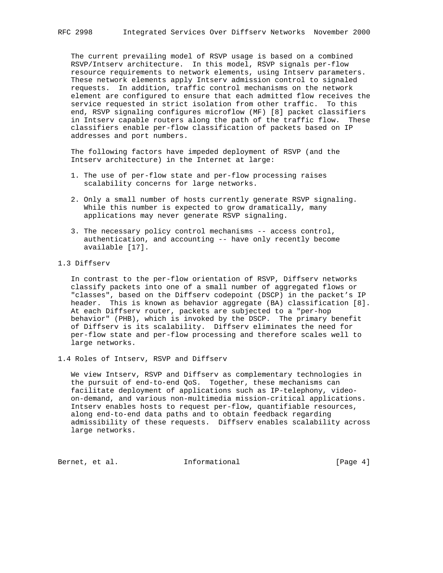The current prevailing model of RSVP usage is based on a combined RSVP/Intserv architecture. In this model, RSVP signals per-flow resource requirements to network elements, using Intserv parameters. These network elements apply Intserv admission control to signaled requests. In addition, traffic control mechanisms on the network element are configured to ensure that each admitted flow receives the service requested in strict isolation from other traffic. To this end, RSVP signaling configures microflow (MF) [8] packet classifiers in Intserv capable routers along the path of the traffic flow. These classifiers enable per-flow classification of packets based on IP addresses and port numbers.

 The following factors have impeded deployment of RSVP (and the Intserv architecture) in the Internet at large:

- 1. The use of per-flow state and per-flow processing raises scalability concerns for large networks.
- 2. Only a small number of hosts currently generate RSVP signaling. While this number is expected to grow dramatically, many applications may never generate RSVP signaling.
- 3. The necessary policy control mechanisms -- access control, authentication, and accounting -- have only recently become available [17].
- 1.3 Diffserv

 In contrast to the per-flow orientation of RSVP, Diffserv networks classify packets into one of a small number of aggregated flows or "classes", based on the Diffserv codepoint (DSCP) in the packet's IP header. This is known as behavior aggregate (BA) classification [8]. At each Diffserv router, packets are subjected to a "per-hop behavior" (PHB), which is invoked by the DSCP. The primary benefit of Diffserv is its scalability. Diffserv eliminates the need for per-flow state and per-flow processing and therefore scales well to large networks.

1.4 Roles of Intserv, RSVP and Diffserv

 We view Intserv, RSVP and Diffserv as complementary technologies in the pursuit of end-to-end QoS. Together, these mechanisms can facilitate deployment of applications such as IP-telephony, video on-demand, and various non-multimedia mission-critical applications. Intserv enables hosts to request per-flow, quantifiable resources, along end-to-end data paths and to obtain feedback regarding admissibility of these requests. Diffserv enables scalability across large networks.

Bernet, et al. **Informational** [Page 4]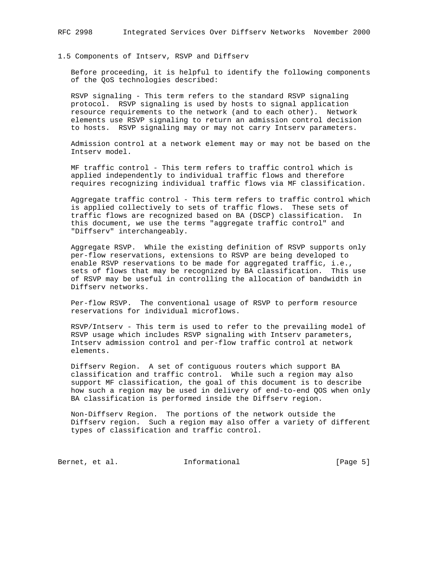### 1.5 Components of Intserv, RSVP and Diffserv

 Before proceeding, it is helpful to identify the following components of the QoS technologies described:

 RSVP signaling - This term refers to the standard RSVP signaling protocol. RSVP signaling is used by hosts to signal application resource requirements to the network (and to each other). Network elements use RSVP signaling to return an admission control decision to hosts. RSVP signaling may or may not carry Intserv parameters.

 Admission control at a network element may or may not be based on the Intserv model.

 MF traffic control - This term refers to traffic control which is applied independently to individual traffic flows and therefore requires recognizing individual traffic flows via MF classification.

 Aggregate traffic control - This term refers to traffic control which is applied collectively to sets of traffic flows. These sets of traffic flows are recognized based on BA (DSCP) classification. In this document, we use the terms "aggregate traffic control" and "Diffserv" interchangeably.

 Aggregate RSVP. While the existing definition of RSVP supports only per-flow reservations, extensions to RSVP are being developed to enable RSVP reservations to be made for aggregated traffic, i.e., sets of flows that may be recognized by BA classification. This use of RSVP may be useful in controlling the allocation of bandwidth in Diffserv networks.

 Per-flow RSVP. The conventional usage of RSVP to perform resource reservations for individual microflows.

 RSVP/Intserv - This term is used to refer to the prevailing model of RSVP usage which includes RSVP signaling with Intserv parameters, Intserv admission control and per-flow traffic control at network elements.

 Diffserv Region. A set of contiguous routers which support BA classification and traffic control. While such a region may also support MF classification, the goal of this document is to describe how such a region may be used in delivery of end-to-end QOS when only BA classification is performed inside the Diffserv region.

 Non-Diffserv Region. The portions of the network outside the Diffserv region. Such a region may also offer a variety of different types of classification and traffic control.

Bernet, et al. 1nformational [Page 5]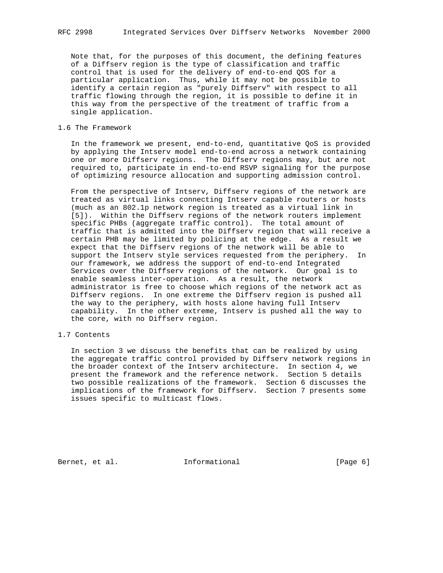Note that, for the purposes of this document, the defining features of a Diffserv region is the type of classification and traffic control that is used for the delivery of end-to-end QOS for a particular application. Thus, while it may not be possible to identify a certain region as "purely Diffserv" with respect to all traffic flowing through the region, it is possible to define it in this way from the perspective of the treatment of traffic from a single application.

#### 1.6 The Framework

 In the framework we present, end-to-end, quantitative QoS is provided by applying the Intserv model end-to-end across a network containing one or more Diffserv regions. The Diffserv regions may, but are not required to, participate in end-to-end RSVP signaling for the purpose of optimizing resource allocation and supporting admission control.

 From the perspective of Intserv, Diffserv regions of the network are treated as virtual links connecting Intserv capable routers or hosts (much as an 802.1p network region is treated as a virtual link in [5]). Within the Diffserv regions of the network routers implement specific PHBs (aggregate traffic control). The total amount of traffic that is admitted into the Diffserv region that will receive a certain PHB may be limited by policing at the edge. As a result we expect that the Diffserv regions of the network will be able to support the Intserv style services requested from the periphery. In our framework, we address the support of end-to-end Integrated Services over the Diffserv regions of the network. Our goal is to enable seamless inter-operation. As a result, the network administrator is free to choose which regions of the network act as Diffserv regions. In one extreme the Diffserv region is pushed all the way to the periphery, with hosts alone having full Intserv capability. In the other extreme, Intserv is pushed all the way to the core, with no Diffserv region.

## 1.7 Contents

 In section 3 we discuss the benefits that can be realized by using the aggregate traffic control provided by Diffserv network regions in the broader context of the Intserv architecture. In section 4, we present the framework and the reference network. Section 5 details two possible realizations of the framework. Section 6 discusses the implications of the framework for Diffserv. Section 7 presents some issues specific to multicast flows.

Bernet, et al. **Informational** [Page 6]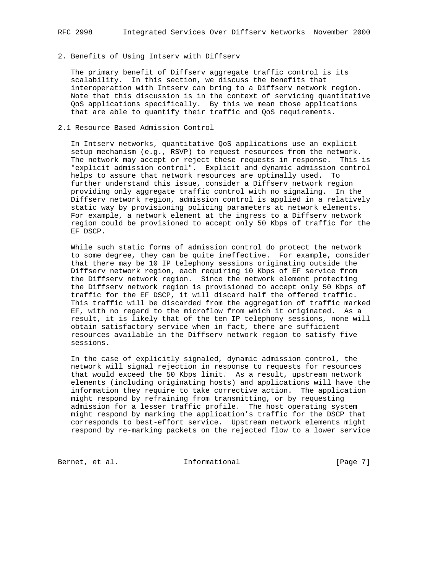## 2. Benefits of Using Intserv with Diffserv

 The primary benefit of Diffserv aggregate traffic control is its scalability. In this section, we discuss the benefits that interoperation with Intserv can bring to a Diffserv network region. Note that this discussion is in the context of servicing quantitative QoS applications specifically. By this we mean those applications that are able to quantify their traffic and QoS requirements.

### 2.1 Resource Based Admission Control

 In Intserv networks, quantitative QoS applications use an explicit setup mechanism (e.g., RSVP) to request resources from the network. The network may accept or reject these requests in response. This is "explicit admission control". Explicit and dynamic admission control helps to assure that network resources are optimally used. To further understand this issue, consider a Diffserv network region providing only aggregate traffic control with no signaling. In the Diffserv network region, admission control is applied in a relatively static way by provisioning policing parameters at network elements. For example, a network element at the ingress to a Diffserv network region could be provisioned to accept only 50 Kbps of traffic for the EF DSCP.

 While such static forms of admission control do protect the network to some degree, they can be quite ineffective. For example, consider that there may be 10 IP telephony sessions originating outside the Diffserv network region, each requiring 10 Kbps of EF service from the Diffserv network region. Since the network element protecting the Diffserv network region is provisioned to accept only 50 Kbps of traffic for the EF DSCP, it will discard half the offered traffic. This traffic will be discarded from the aggregation of traffic marked EF, with no regard to the microflow from which it originated. As a result, it is likely that of the ten IP telephony sessions, none will obtain satisfactory service when in fact, there are sufficient resources available in the Diffserv network region to satisfy five sessions.

 In the case of explicitly signaled, dynamic admission control, the network will signal rejection in response to requests for resources that would exceed the 50 Kbps limit. As a result, upstream network elements (including originating hosts) and applications will have the information they require to take corrective action. The application might respond by refraining from transmitting, or by requesting admission for a lesser traffic profile. The host operating system might respond by marking the application's traffic for the DSCP that corresponds to best-effort service. Upstream network elements might respond by re-marking packets on the rejected flow to a lower service

Bernet, et al. 1nformational [Page 7]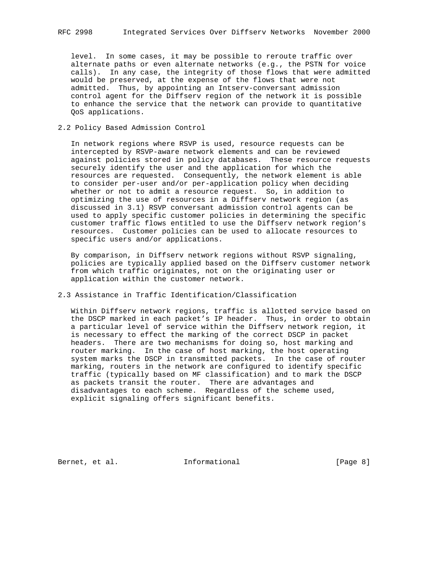level. In some cases, it may be possible to reroute traffic over alternate paths or even alternate networks (e.g., the PSTN for voice calls). In any case, the integrity of those flows that were admitted would be preserved, at the expense of the flows that were not admitted. Thus, by appointing an Intserv-conversant admission control agent for the Diffserv region of the network it is possible to enhance the service that the network can provide to quantitative QoS applications.

### 2.2 Policy Based Admission Control

 In network regions where RSVP is used, resource requests can be intercepted by RSVP-aware network elements and can be reviewed against policies stored in policy databases. These resource requests securely identify the user and the application for which the resources are requested. Consequently, the network element is able to consider per-user and/or per-application policy when deciding whether or not to admit a resource request. So, in addition to optimizing the use of resources in a Diffserv network region (as discussed in 3.1) RSVP conversant admission control agents can be used to apply specific customer policies in determining the specific customer traffic flows entitled to use the Diffserv network region's resources. Customer policies can be used to allocate resources to specific users and/or applications.

 By comparison, in Diffserv network regions without RSVP signaling, policies are typically applied based on the Diffserv customer network from which traffic originates, not on the originating user or application within the customer network.

# 2.3 Assistance in Traffic Identification/Classification

 Within Diffserv network regions, traffic is allotted service based on the DSCP marked in each packet's IP header. Thus, in order to obtain a particular level of service within the Diffserv network region, it is necessary to effect the marking of the correct DSCP in packet headers. There are two mechanisms for doing so, host marking and router marking. In the case of host marking, the host operating system marks the DSCP in transmitted packets. In the case of router marking, routers in the network are configured to identify specific traffic (typically based on MF classification) and to mark the DSCP as packets transit the router. There are advantages and disadvantages to each scheme. Regardless of the scheme used, explicit signaling offers significant benefits.

Bernet, et al. **Informational** [Page 8]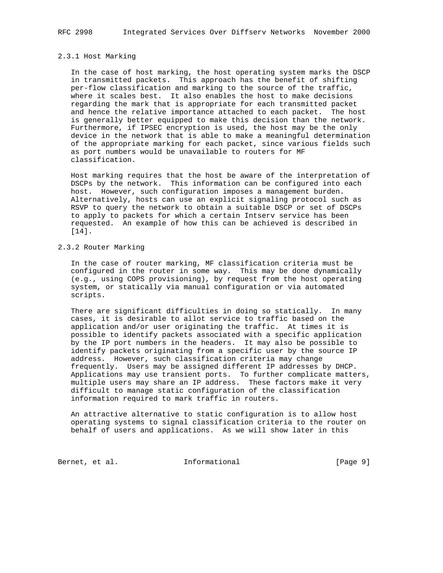#### 2.3.1 Host Marking

 In the case of host marking, the host operating system marks the DSCP in transmitted packets. This approach has the benefit of shifting per-flow classification and marking to the source of the traffic, where it scales best. It also enables the host to make decisions regarding the mark that is appropriate for each transmitted packet and hence the relative importance attached to each packet. The host is generally better equipped to make this decision than the network. Furthermore, if IPSEC encryption is used, the host may be the only device in the network that is able to make a meaningful determination of the appropriate marking for each packet, since various fields such as port numbers would be unavailable to routers for MF classification.

 Host marking requires that the host be aware of the interpretation of DSCPs by the network. This information can be configured into each host. However, such configuration imposes a management burden. Alternatively, hosts can use an explicit signaling protocol such as RSVP to query the network to obtain a suitable DSCP or set of DSCPs to apply to packets for which a certain Intserv service has been requested. An example of how this can be achieved is described in [14].

#### 2.3.2 Router Marking

 In the case of router marking, MF classification criteria must be configured in the router in some way. This may be done dynamically (e.g., using COPS provisioning), by request from the host operating system, or statically via manual configuration or via automated scripts.

 There are significant difficulties in doing so statically. In many cases, it is desirable to allot service to traffic based on the application and/or user originating the traffic. At times it is possible to identify packets associated with a specific application by the IP port numbers in the headers. It may also be possible to identify packets originating from a specific user by the source IP address. However, such classification criteria may change frequently. Users may be assigned different IP addresses by DHCP. Applications may use transient ports. To further complicate matters, multiple users may share an IP address. These factors make it very difficult to manage static configuration of the classification information required to mark traffic in routers.

 An attractive alternative to static configuration is to allow host operating systems to signal classification criteria to the router on behalf of users and applications. As we will show later in this

Bernet, et al. **Informational** [Page 9]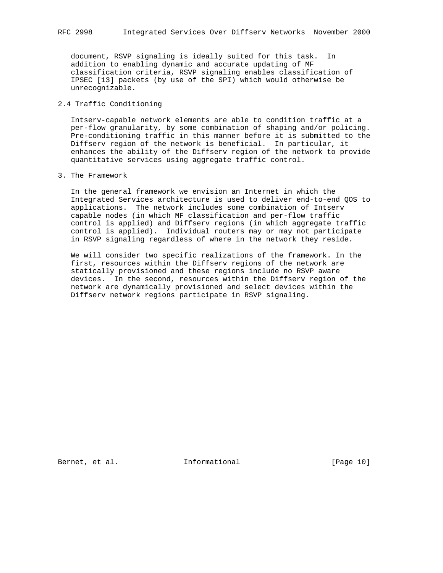document, RSVP signaling is ideally suited for this task. In addition to enabling dynamic and accurate updating of MF classification criteria, RSVP signaling enables classification of IPSEC [13] packets (by use of the SPI) which would otherwise be unrecognizable.

### 2.4 Traffic Conditioning

 Intserv-capable network elements are able to condition traffic at a per-flow granularity, by some combination of shaping and/or policing. Pre-conditioning traffic in this manner before it is submitted to the Diffserv region of the network is beneficial. In particular, it enhances the ability of the Diffserv region of the network to provide quantitative services using aggregate traffic control.

#### 3. The Framework

 In the general framework we envision an Internet in which the Integrated Services architecture is used to deliver end-to-end QOS to applications. The network includes some combination of Intserv capable nodes (in which MF classification and per-flow traffic control is applied) and Diffserv regions (in which aggregate traffic control is applied). Individual routers may or may not participate in RSVP signaling regardless of where in the network they reside.

 We will consider two specific realizations of the framework. In the first, resources within the Diffserv regions of the network are statically provisioned and these regions include no RSVP aware devices. In the second, resources within the Diffserv region of the network are dynamically provisioned and select devices within the Diffserv network regions participate in RSVP signaling.

Bernet, et al. **Informational** [Page 10]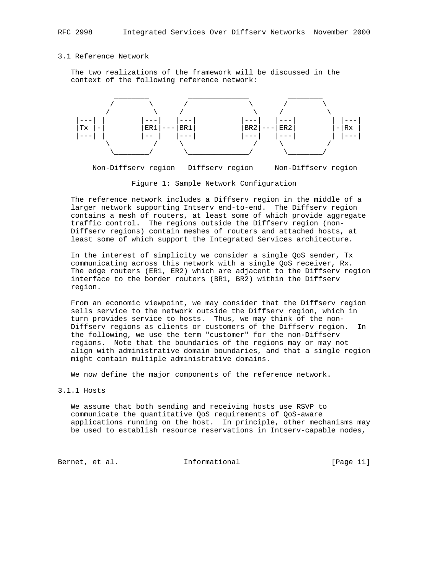#### 3.1 Reference Network

 The two realizations of the framework will be discussed in the context of the following reference network:



Non-Diffserv region Diffserv region Non-Diffserv region

Figure 1: Sample Network Configuration

 The reference network includes a Diffserv region in the middle of a larger network supporting Intserv end-to-end. The Diffserv region contains a mesh of routers, at least some of which provide aggregate traffic control. The regions outside the Diffserv region (non- Diffserv regions) contain meshes of routers and attached hosts, at least some of which support the Integrated Services architecture.

 In the interest of simplicity we consider a single QoS sender, Tx communicating across this network with a single QoS receiver, Rx. The edge routers (ER1, ER2) which are adjacent to the Diffserv region interface to the border routers (BR1, BR2) within the Diffserv region.

 From an economic viewpoint, we may consider that the Diffserv region sells service to the network outside the Diffserv region, which in turn provides service to hosts. Thus, we may think of the non- Diffserv regions as clients or customers of the Diffserv region. In the following, we use the term "customer" for the non-Diffserv regions. Note that the boundaries of the regions may or may not align with administrative domain boundaries, and that a single region might contain multiple administrative domains.

We now define the major components of the reference network.

### 3.1.1 Hosts

 We assume that both sending and receiving hosts use RSVP to communicate the quantitative QoS requirements of QoS-aware applications running on the host. In principle, other mechanisms may be used to establish resource reservations in Intserv-capable nodes,

Bernet, et al. 1nformational [Page 11]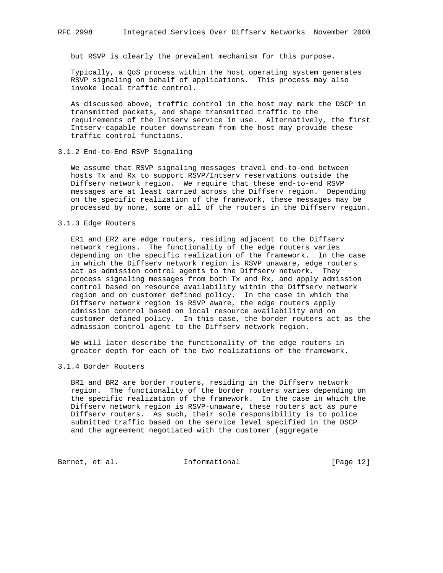but RSVP is clearly the prevalent mechanism for this purpose.

 Typically, a QoS process within the host operating system generates RSVP signaling on behalf of applications. This process may also invoke local traffic control.

 As discussed above, traffic control in the host may mark the DSCP in transmitted packets, and shape transmitted traffic to the requirements of the Intserv service in use. Alternatively, the first Intserv-capable router downstream from the host may provide these traffic control functions.

### 3.1.2 End-to-End RSVP Signaling

 We assume that RSVP signaling messages travel end-to-end between hosts Tx and Rx to support RSVP/Intserv reservations outside the Diffserv network region. We require that these end-to-end RSVP messages are at least carried across the Diffserv region. Depending on the specific realization of the framework, these messages may be processed by none, some or all of the routers in the Diffserv region.

#### 3.1.3 Edge Routers

 ER1 and ER2 are edge routers, residing adjacent to the Diffserv network regions. The functionality of the edge routers varies depending on the specific realization of the framework. In the case in which the Diffserv network region is RSVP unaware, edge routers act as admission control agents to the Diffserv network. They process signaling messages from both Tx and Rx, and apply admission control based on resource availability within the Diffserv network region and on customer defined policy. In the case in which the Diffserv network region is RSVP aware, the edge routers apply admission control based on local resource availability and on customer defined policy. In this case, the border routers act as the admission control agent to the Diffserv network region.

 We will later describe the functionality of the edge routers in greater depth for each of the two realizations of the framework.

### 3.1.4 Border Routers

 BR1 and BR2 are border routers, residing in the Diffserv network region. The functionality of the border routers varies depending on the specific realization of the framework. In the case in which the Diffserv network region is RSVP-unaware, these routers act as pure Diffserv routers. As such, their sole responsibility is to police submitted traffic based on the service level specified in the DSCP and the agreement negotiated with the customer (aggregate

Bernet, et al. 1nformational [Page 12]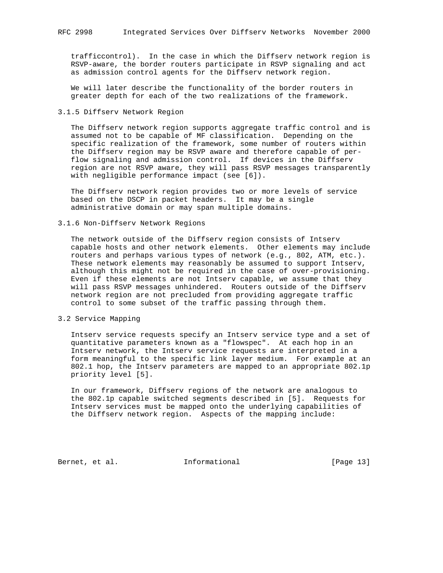trafficcontrol). In the case in which the Diffserv network region is RSVP-aware, the border routers participate in RSVP signaling and act as admission control agents for the Diffserv network region.

 We will later describe the functionality of the border routers in greater depth for each of the two realizations of the framework.

3.1.5 Diffserv Network Region

 The Diffserv network region supports aggregate traffic control and is assumed not to be capable of MF classification. Depending on the specific realization of the framework, some number of routers within the Diffserv region may be RSVP aware and therefore capable of per flow signaling and admission control. If devices in the Diffserv region are not RSVP aware, they will pass RSVP messages transparently with negligible performance impact (see [6]).

 The Diffserv network region provides two or more levels of service based on the DSCP in packet headers. It may be a single administrative domain or may span multiple domains.

3.1.6 Non-Diffserv Network Regions

 The network outside of the Diffserv region consists of Intserv capable hosts and other network elements. Other elements may include routers and perhaps various types of network (e.g., 802, ATM, etc.). These network elements may reasonably be assumed to support Intserv, although this might not be required in the case of over-provisioning. Even if these elements are not Intserv capable, we assume that they will pass RSVP messages unhindered. Routers outside of the Diffserv network region are not precluded from providing aggregate traffic control to some subset of the traffic passing through them.

3.2 Service Mapping

 Intserv service requests specify an Intserv service type and a set of quantitative parameters known as a "flowspec". At each hop in an Intserv network, the Intserv service requests are interpreted in a form meaningful to the specific link layer medium. For example at an 802.1 hop, the Intserv parameters are mapped to an appropriate 802.1p priority level [5].

 In our framework, Diffserv regions of the network are analogous to the 802.1p capable switched segments described in [5]. Requests for Intserv services must be mapped onto the underlying capabilities of the Diffserv network region. Aspects of the mapping include:

Bernet, et al. **Informational** [Page 13]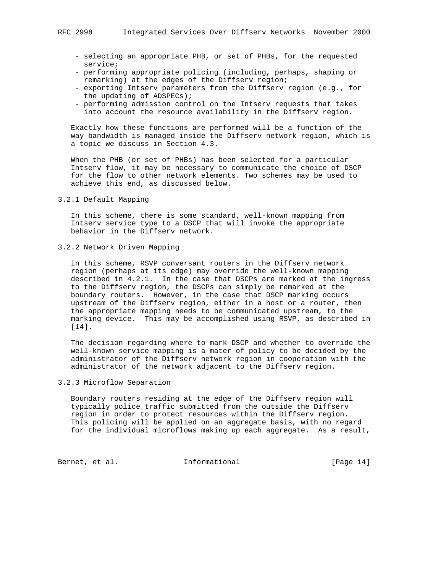- selecting an appropriate PHB, or set of PHBs, for the requested service;
- performing appropriate policing (including, perhaps, shaping or remarking) at the edges of the Diffserv region;
- exporting Intserv parameters from the Diffserv region (e.g., for the updating of ADSPECs);
- performing admission control on the Intserv requests that takes into account the resource availability in the Diffserv region.

 Exactly how these functions are performed will be a function of the way bandwidth is managed inside the Diffserv network region, which is a topic we discuss in Section 4.3.

 When the PHB (or set of PHBs) has been selected for a particular Intserv flow, it may be necessary to communicate the choice of DSCP for the flow to other network elements. Two schemes may be used to achieve this end, as discussed below.

3.2.1 Default Mapping

 In this scheme, there is some standard, well-known mapping from Intserv service type to a DSCP that will invoke the appropriate behavior in the Diffserv network.

3.2.2 Network Driven Mapping

 In this scheme, RSVP conversant routers in the Diffserv network region (perhaps at its edge) may override the well-known mapping described in 4.2.1. In the case that DSCPs are marked at the ingress to the Diffserv region, the DSCPs can simply be remarked at the boundary routers. However, in the case that DSCP marking occurs upstream of the Diffserv region, either in a host or a router, then the appropriate mapping needs to be communicated upstream, to the marking device. This may be accomplished using RSVP, as described in [14].

 The decision regarding where to mark DSCP and whether to override the well-known service mapping is a mater of policy to be decided by the administrator of the Diffserv network region in cooperation with the administrator of the network adjacent to the Diffserv region.

### 3.2.3 Microflow Separation

 Boundary routers residing at the edge of the Diffserv region will typically police traffic submitted from the outside the Diffserv region in order to protect resources within the Diffserv region. This policing will be applied on an aggregate basis, with no regard for the individual microflows making up each aggregate. As a result,

Bernet, et al. 1nformational [Page 14]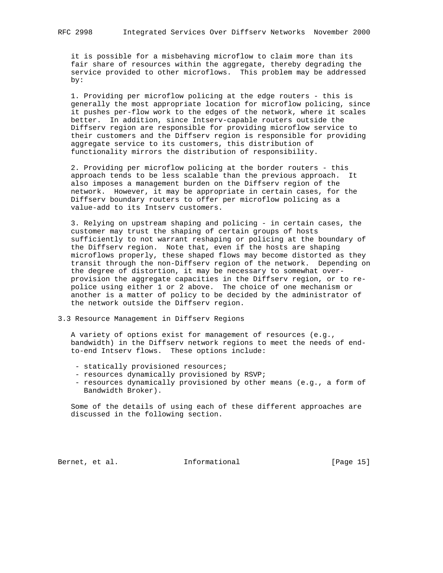it is possible for a misbehaving microflow to claim more than its fair share of resources within the aggregate, thereby degrading the service provided to other microflows. This problem may be addressed by:

 1. Providing per microflow policing at the edge routers - this is generally the most appropriate location for microflow policing, since it pushes per-flow work to the edges of the network, where it scales better. In addition, since Intserv-capable routers outside the Diffserv region are responsible for providing microflow service to their customers and the Diffserv region is responsible for providing aggregate service to its customers, this distribution of functionality mirrors the distribution of responsibility.

 2. Providing per microflow policing at the border routers - this approach tends to be less scalable than the previous approach. It also imposes a management burden on the Diffserv region of the network. However, it may be appropriate in certain cases, for the Diffserv boundary routers to offer per microflow policing as a value-add to its Intserv customers.

 3. Relying on upstream shaping and policing - in certain cases, the customer may trust the shaping of certain groups of hosts sufficiently to not warrant reshaping or policing at the boundary of the Diffserv region. Note that, even if the hosts are shaping microflows properly, these shaped flows may become distorted as they transit through the non-Diffserv region of the network. Depending on the degree of distortion, it may be necessary to somewhat over provision the aggregate capacities in the Diffserv region, or to re police using either 1 or 2 above. The choice of one mechanism or another is a matter of policy to be decided by the administrator of the network outside the Diffserv region.

3.3 Resource Management in Diffserv Regions

 A variety of options exist for management of resources (e.g., bandwidth) in the Diffserv network regions to meet the needs of end to-end Intserv flows. These options include:

- statically provisioned resources;
- resources dynamically provisioned by RSVP;
- resources dynamically provisioned by other means (e.g., a form of Bandwidth Broker).

 Some of the details of using each of these different approaches are discussed in the following section.

Bernet, et al. **Informational** [Page 15]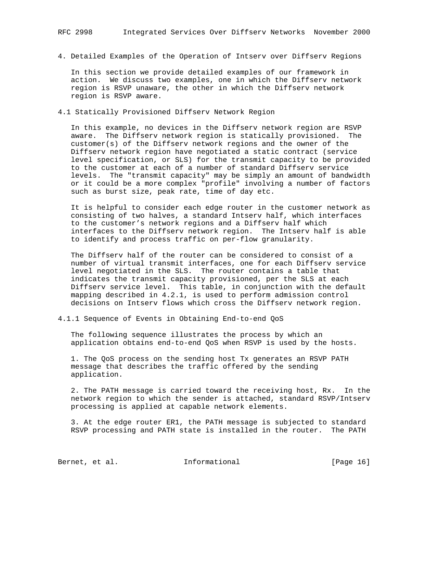4. Detailed Examples of the Operation of Intserv over Diffserv Regions

 In this section we provide detailed examples of our framework in action. We discuss two examples, one in which the Diffserv network region is RSVP unaware, the other in which the Diffserv network region is RSVP aware.

4.1 Statically Provisioned Diffserv Network Region

 In this example, no devices in the Diffserv network region are RSVP aware. The Diffserv network region is statically provisioned. The customer(s) of the Diffserv network regions and the owner of the Diffserv network region have negotiated a static contract (service level specification, or SLS) for the transmit capacity to be provided to the customer at each of a number of standard Diffserv service levels. The "transmit capacity" may be simply an amount of bandwidth or it could be a more complex "profile" involving a number of factors such as burst size, peak rate, time of day etc.

 It is helpful to consider each edge router in the customer network as consisting of two halves, a standard Intserv half, which interfaces to the customer's network regions and a Diffserv half which interfaces to the Diffserv network region. The Intserv half is able to identify and process traffic on per-flow granularity.

 The Diffserv half of the router can be considered to consist of a number of virtual transmit interfaces, one for each Diffserv service level negotiated in the SLS. The router contains a table that indicates the transmit capacity provisioned, per the SLS at each Diffserv service level. This table, in conjunction with the default mapping described in 4.2.1, is used to perform admission control decisions on Intserv flows which cross the Diffserv network region.

4.1.1 Sequence of Events in Obtaining End-to-end QoS

 The following sequence illustrates the process by which an application obtains end-to-end QoS when RSVP is used by the hosts.

 1. The QoS process on the sending host Tx generates an RSVP PATH message that describes the traffic offered by the sending application.

 2. The PATH message is carried toward the receiving host, Rx. In the network region to which the sender is attached, standard RSVP/Intserv processing is applied at capable network elements.

 3. At the edge router ER1, the PATH message is subjected to standard RSVP processing and PATH state is installed in the router. The PATH

Bernet, et al. 1nformational [Page 16]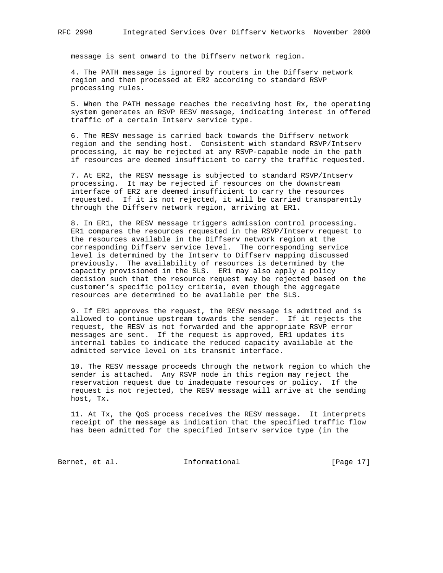message is sent onward to the Diffserv network region.

 4. The PATH message is ignored by routers in the Diffserv network region and then processed at ER2 according to standard RSVP processing rules.

 5. When the PATH message reaches the receiving host Rx, the operating system generates an RSVP RESV message, indicating interest in offered traffic of a certain Intserv service type.

 6. The RESV message is carried back towards the Diffserv network region and the sending host. Consistent with standard RSVP/Intserv processing, it may be rejected at any RSVP-capable node in the path if resources are deemed insufficient to carry the traffic requested.

 7. At ER2, the RESV message is subjected to standard RSVP/Intserv processing. It may be rejected if resources on the downstream interface of ER2 are deemed insufficient to carry the resources requested. If it is not rejected, it will be carried transparently through the Diffserv network region, arriving at ER1.

 8. In ER1, the RESV message triggers admission control processing. ER1 compares the resources requested in the RSVP/Intserv request to the resources available in the Diffserv network region at the corresponding Diffserv service level. The corresponding service level is determined by the Intserv to Diffserv mapping discussed previously. The availability of resources is determined by the capacity provisioned in the SLS. ER1 may also apply a policy decision such that the resource request may be rejected based on the customer's specific policy criteria, even though the aggregate resources are determined to be available per the SLS.

 9. If ER1 approves the request, the RESV message is admitted and is allowed to continue upstream towards the sender. If it rejects the request, the RESV is not forwarded and the appropriate RSVP error messages are sent. If the request is approved, ER1 updates its internal tables to indicate the reduced capacity available at the admitted service level on its transmit interface.

 10. The RESV message proceeds through the network region to which the sender is attached. Any RSVP node in this region may reject the reservation request due to inadequate resources or policy. If the request is not rejected, the RESV message will arrive at the sending host, Tx.

 11. At Tx, the QoS process receives the RESV message. It interprets receipt of the message as indication that the specified traffic flow has been admitted for the specified Intserv service type (in the

Bernet, et al. 1nformational [Page 17]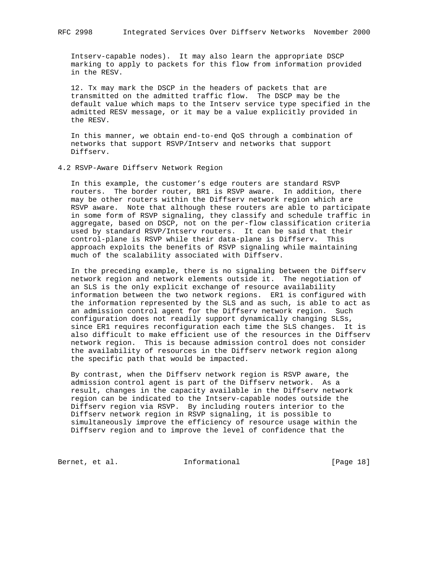Intserv-capable nodes). It may also learn the appropriate DSCP marking to apply to packets for this flow from information provided in the RESV.

 12. Tx may mark the DSCP in the headers of packets that are transmitted on the admitted traffic flow. The DSCP may be the default value which maps to the Intserv service type specified in the admitted RESV message, or it may be a value explicitly provided in the RESV.

 In this manner, we obtain end-to-end QoS through a combination of networks that support RSVP/Intserv and networks that support Diffserv.

4.2 RSVP-Aware Diffserv Network Region

 In this example, the customer's edge routers are standard RSVP routers. The border router, BR1 is RSVP aware. In addition, there may be other routers within the Diffserv network region which are RSVP aware. Note that although these routers are able to participate in some form of RSVP signaling, they classify and schedule traffic in aggregate, based on DSCP, not on the per-flow classification criteria used by standard RSVP/Intserv routers. It can be said that their control-plane is RSVP while their data-plane is Diffserv. This approach exploits the benefits of RSVP signaling while maintaining much of the scalability associated with Diffserv.

 In the preceding example, there is no signaling between the Diffserv network region and network elements outside it. The negotiation of an SLS is the only explicit exchange of resource availability information between the two network regions. ER1 is configured with the information represented by the SLS and as such, is able to act as an admission control agent for the Diffserv network region. Such configuration does not readily support dynamically changing SLSs, since ER1 requires reconfiguration each time the SLS changes. It is also difficult to make efficient use of the resources in the Diffserv network region. This is because admission control does not consider the availability of resources in the Diffserv network region along the specific path that would be impacted.

 By contrast, when the Diffserv network region is RSVP aware, the admission control agent is part of the Diffserv network. As a result, changes in the capacity available in the Diffserv network region can be indicated to the Intserv-capable nodes outside the Diffserv region via RSVP. By including routers interior to the Diffserv network region in RSVP signaling, it is possible to simultaneously improve the efficiency of resource usage within the Diffserv region and to improve the level of confidence that the

Bernet, et al. 1nformational [Page 18]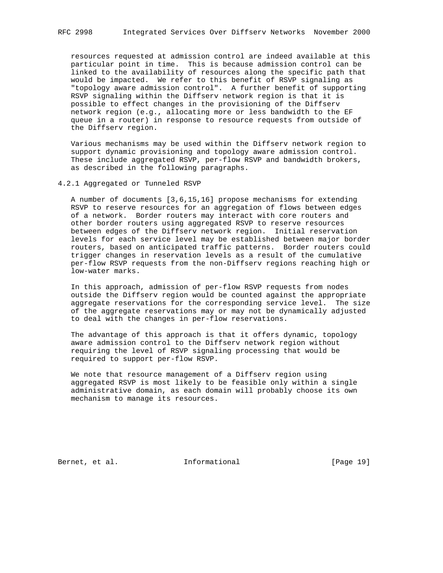resources requested at admission control are indeed available at this particular point in time. This is because admission control can be linked to the availability of resources along the specific path that would be impacted. We refer to this benefit of RSVP signaling as "topology aware admission control". A further benefit of supporting RSVP signaling within the Diffserv network region is that it is possible to effect changes in the provisioning of the Diffserv network region (e.g., allocating more or less bandwidth to the EF queue in a router) in response to resource requests from outside of the Diffserv region.

 Various mechanisms may be used within the Diffserv network region to support dynamic provisioning and topology aware admission control. These include aggregated RSVP, per-flow RSVP and bandwidth brokers, as described in the following paragraphs.

4.2.1 Aggregated or Tunneled RSVP

 A number of documents [3,6,15,16] propose mechanisms for extending RSVP to reserve resources for an aggregation of flows between edges of a network. Border routers may interact with core routers and other border routers using aggregated RSVP to reserve resources between edges of the Diffserv network region. Initial reservation levels for each service level may be established between major border routers, based on anticipated traffic patterns. Border routers could trigger changes in reservation levels as a result of the cumulative per-flow RSVP requests from the non-Diffserv regions reaching high or low-water marks.

 In this approach, admission of per-flow RSVP requests from nodes outside the Diffserv region would be counted against the appropriate aggregate reservations for the corresponding service level. The size of the aggregate reservations may or may not be dynamically adjusted to deal with the changes in per-flow reservations.

 The advantage of this approach is that it offers dynamic, topology aware admission control to the Diffserv network region without requiring the level of RSVP signaling processing that would be required to support per-flow RSVP.

 We note that resource management of a Diffserv region using aggregated RSVP is most likely to be feasible only within a single administrative domain, as each domain will probably choose its own mechanism to manage its resources.

Bernet, et al. **Informational** [Page 19]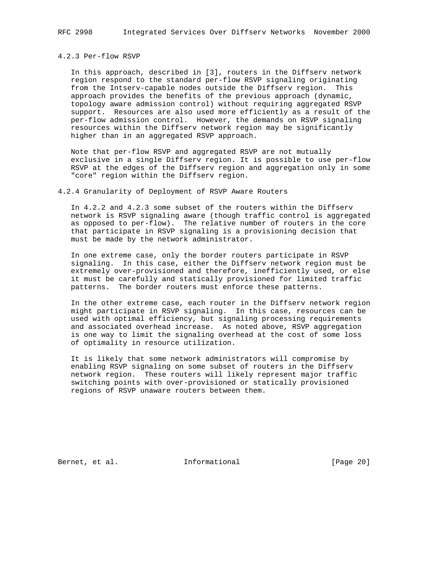#### 4.2.3 Per-flow RSVP

 In this approach, described in [3], routers in the Diffserv network region respond to the standard per-flow RSVP signaling originating from the Intserv-capable nodes outside the Diffserv region. This approach provides the benefits of the previous approach (dynamic, topology aware admission control) without requiring aggregated RSVP support. Resources are also used more efficiently as a result of the per-flow admission control. However, the demands on RSVP signaling resources within the Diffserv network region may be significantly higher than in an aggregated RSVP approach.

 Note that per-flow RSVP and aggregated RSVP are not mutually exclusive in a single Diffserv region. It is possible to use per-flow RSVP at the edges of the Diffserv region and aggregation only in some "core" region within the Diffserv region.

#### 4.2.4 Granularity of Deployment of RSVP Aware Routers

 In 4.2.2 and 4.2.3 some subset of the routers within the Diffserv network is RSVP signaling aware (though traffic control is aggregated as opposed to per-flow). The relative number of routers in the core that participate in RSVP signaling is a provisioning decision that must be made by the network administrator.

 In one extreme case, only the border routers participate in RSVP signaling. In this case, either the Diffserv network region must be extremely over-provisioned and therefore, inefficiently used, or else it must be carefully and statically provisioned for limited traffic patterns. The border routers must enforce these patterns.

 In the other extreme case, each router in the Diffserv network region might participate in RSVP signaling. In this case, resources can be used with optimal efficiency, but signaling processing requirements and associated overhead increase. As noted above, RSVP aggregation is one way to limit the signaling overhead at the cost of some loss of optimality in resource utilization.

 It is likely that some network administrators will compromise by enabling RSVP signaling on some subset of routers in the Diffserv network region. These routers will likely represent major traffic switching points with over-provisioned or statically provisioned regions of RSVP unaware routers between them.

Bernet, et al. 1nformational [Page 20]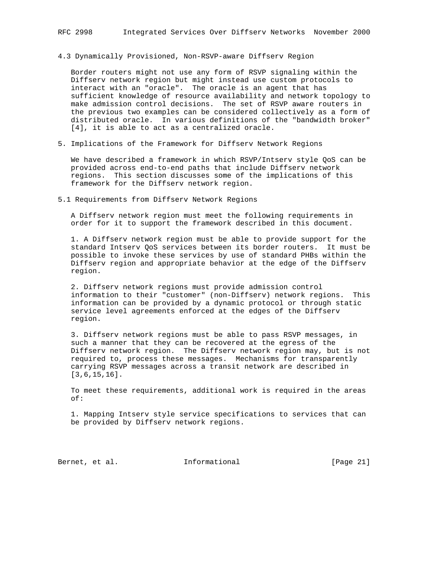### 4.3 Dynamically Provisioned, Non-RSVP-aware Diffserv Region

 Border routers might not use any form of RSVP signaling within the Diffserv network region but might instead use custom protocols to interact with an "oracle". The oracle is an agent that has sufficient knowledge of resource availability and network topology to make admission control decisions. The set of RSVP aware routers in the previous two examples can be considered collectively as a form of distributed oracle. In various definitions of the "bandwidth broker" [4], it is able to act as a centralized oracle.

5. Implications of the Framework for Diffserv Network Regions

 We have described a framework in which RSVP/Intserv style QoS can be provided across end-to-end paths that include Diffserv network regions. This section discusses some of the implications of this framework for the Diffserv network region.

5.1 Requirements from Diffserv Network Regions

 A Diffserv network region must meet the following requirements in order for it to support the framework described in this document.

 1. A Diffserv network region must be able to provide support for the standard Intserv QoS services between its border routers. It must be possible to invoke these services by use of standard PHBs within the Diffserv region and appropriate behavior at the edge of the Diffserv region.

 2. Diffserv network regions must provide admission control information to their "customer" (non-Diffserv) network regions. This information can be provided by a dynamic protocol or through static service level agreements enforced at the edges of the Diffserv region.

 3. Diffserv network regions must be able to pass RSVP messages, in such a manner that they can be recovered at the egress of the Diffserv network region. The Diffserv network region may, but is not required to, process these messages. Mechanisms for transparently carrying RSVP messages across a transit network are described in [3,6,15,16].

 To meet these requirements, additional work is required in the areas of:

 1. Mapping Intserv style service specifications to services that can be provided by Diffserv network regions.

Bernet, et al. Informational [Page 21]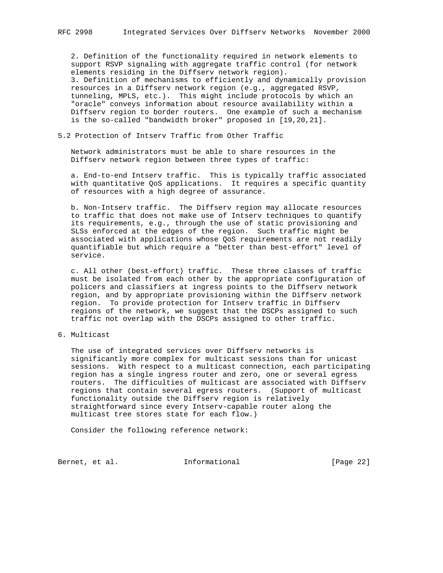2. Definition of the functionality required in network elements to support RSVP signaling with aggregate traffic control (for network elements residing in the Diffserv network region). 3. Definition of mechanisms to efficiently and dynamically provision resources in a Diffserv network region (e.g., aggregated RSVP, tunneling, MPLS, etc.). This might include protocols by which an "oracle" conveys information about resource availability within a Diffserv region to border routers. One example of such a mechanism is the so-called "bandwidth broker" proposed in [19,20,21].

### 5.2 Protection of Intserv Traffic from Other Traffic

 Network administrators must be able to share resources in the Diffserv network region between three types of traffic:

 a. End-to-end Intserv traffic. This is typically traffic associated with quantitative QoS applications. It requires a specific quantity of resources with a high degree of assurance.

 b. Non-Intserv traffic. The Diffserv region may allocate resources to traffic that does not make use of Intserv techniques to quantify its requirements, e.g., through the use of static provisioning and SLSs enforced at the edges of the region. Such traffic might be associated with applications whose QoS requirements are not readily quantifiable but which require a "better than best-effort" level of service.

 c. All other (best-effort) traffic. These three classes of traffic must be isolated from each other by the appropriate configuration of policers and classifiers at ingress points to the Diffserv network region, and by appropriate provisioning within the Diffserv network region. To provide protection for Intserv traffic in Diffserv regions of the network, we suggest that the DSCPs assigned to such traffic not overlap with the DSCPs assigned to other traffic.

6. Multicast

 The use of integrated services over Diffserv networks is significantly more complex for multicast sessions than for unicast sessions. With respect to a multicast connection, each participating region has a single ingress router and zero, one or several egress routers. The difficulties of multicast are associated with Diffserv regions that contain several egress routers. (Support of multicast functionality outside the Diffserv region is relatively straightforward since every Intserv-capable router along the multicast tree stores state for each flow.)

Consider the following reference network:

Bernet, et al. 1nformational [Page 22]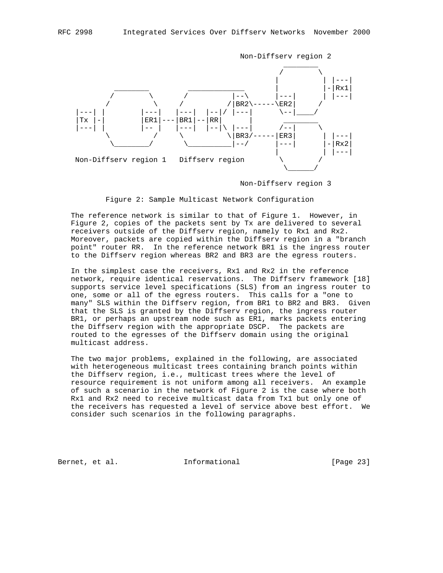

Non-Diffserv region 2

Non-Diffserv region 3

Figure 2: Sample Multicast Network Configuration

 The reference network is similar to that of Figure 1. However, in Figure 2, copies of the packets sent by Tx are delivered to several receivers outside of the Diffserv region, namely to Rx1 and Rx2. Moreover, packets are copied within the Diffserv region in a "branch point" router RR. In the reference network BR1 is the ingress router to the Diffserv region whereas BR2 and BR3 are the egress routers.

 In the simplest case the receivers, Rx1 and Rx2 in the reference network, require identical reservations. The Diffserv framework [18] supports service level specifications (SLS) from an ingress router to one, some or all of the egress routers. This calls for a "one to many" SLS within the Diffserv region, from BR1 to BR2 and BR3. Given that the SLS is granted by the Diffserv region, the ingress router BR1, or perhaps an upstream node such as ER1, marks packets entering the Diffserv region with the appropriate DSCP. The packets are routed to the egresses of the Diffserv domain using the original multicast address.

 The two major problems, explained in the following, are associated with heterogeneous multicast trees containing branch points within the Diffserv region, i.e., multicast trees where the level of resource requirement is not uniform among all receivers. An example of such a scenario in the network of Figure 2 is the case where both Rx1 and Rx2 need to receive multicast data from Tx1 but only one of the receivers has requested a level of service above best effort. We consider such scenarios in the following paragraphs.

Bernet, et al. 1nformational [Page 23]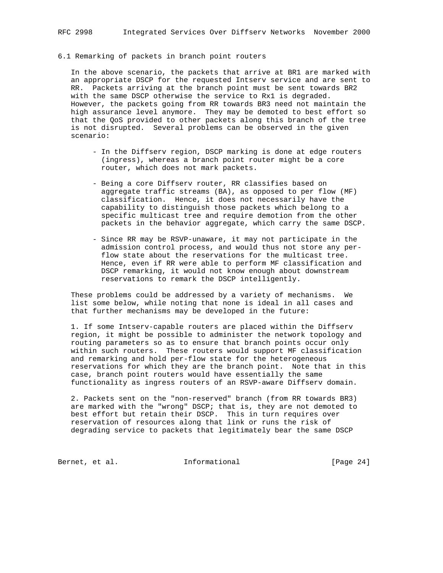### 6.1 Remarking of packets in branch point routers

 In the above scenario, the packets that arrive at BR1 are marked with an appropriate DSCP for the requested Intserv service and are sent to RR. Packets arriving at the branch point must be sent towards BR2 with the same DSCP otherwise the service to Rx1 is degraded. However, the packets going from RR towards BR3 need not maintain the high assurance level anymore. They may be demoted to best effort so that the QoS provided to other packets along this branch of the tree is not disrupted. Several problems can be observed in the given scenario:

- In the Diffserv region, DSCP marking is done at edge routers (ingress), whereas a branch point router might be a core router, which does not mark packets.
- Being a core Diffserv router, RR classifies based on aggregate traffic streams (BA), as opposed to per flow (MF) classification. Hence, it does not necessarily have the capability to distinguish those packets which belong to a specific multicast tree and require demotion from the other packets in the behavior aggregate, which carry the same DSCP.
- Since RR may be RSVP-unaware, it may not participate in the admission control process, and would thus not store any per flow state about the reservations for the multicast tree. Hence, even if RR were able to perform MF classification and DSCP remarking, it would not know enough about downstream reservations to remark the DSCP intelligently.

 These problems could be addressed by a variety of mechanisms. We list some below, while noting that none is ideal in all cases and that further mechanisms may be developed in the future:

 1. If some Intserv-capable routers are placed within the Diffserv region, it might be possible to administer the network topology and routing parameters so as to ensure that branch points occur only within such routers. These routers would support MF classification and remarking and hold per-flow state for the heterogeneous reservations for which they are the branch point. Note that in this case, branch point routers would have essentially the same functionality as ingress routers of an RSVP-aware Diffserv domain.

 2. Packets sent on the "non-reserved" branch (from RR towards BR3) are marked with the "wrong" DSCP; that is, they are not demoted to best effort but retain their DSCP. This in turn requires over reservation of resources along that link or runs the risk of degrading service to packets that legitimately bear the same DSCP

Bernet, et al. 1nformational [Page 24]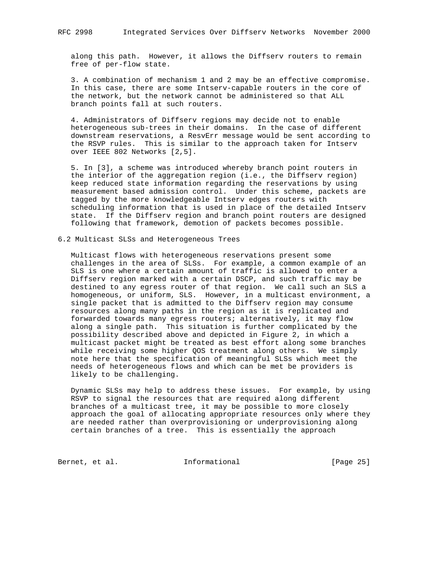along this path. However, it allows the Diffserv routers to remain free of per-flow state.

 3. A combination of mechanism 1 and 2 may be an effective compromise. In this case, there are some Intserv-capable routers in the core of the network, but the network cannot be administered so that ALL branch points fall at such routers.

 4. Administrators of Diffserv regions may decide not to enable heterogeneous sub-trees in their domains. In the case of different downstream reservations, a ResvErr message would be sent according to the RSVP rules. This is similar to the approach taken for Intserv over IEEE 802 Networks [2,5].

 5. In [3], a scheme was introduced whereby branch point routers in the interior of the aggregation region (i.e., the Diffserv region) keep reduced state information regarding the reservations by using measurement based admission control. Under this scheme, packets are tagged by the more knowledgeable Intserv edges routers with scheduling information that is used in place of the detailed Intserv state. If the Diffserv region and branch point routers are designed following that framework, demotion of packets becomes possible.

6.2 Multicast SLSs and Heterogeneous Trees

 Multicast flows with heterogeneous reservations present some challenges in the area of SLSs. For example, a common example of an SLS is one where a certain amount of traffic is allowed to enter a Diffserv region marked with a certain DSCP, and such traffic may be destined to any egress router of that region. We call such an SLS a homogeneous, or uniform, SLS. However, in a multicast environment, a single packet that is admitted to the Diffserv region may consume resources along many paths in the region as it is replicated and forwarded towards many egress routers; alternatively, it may flow along a single path. This situation is further complicated by the possibility described above and depicted in Figure 2, in which a multicast packet might be treated as best effort along some branches while receiving some higher QOS treatment along others. We simply note here that the specification of meaningful SLSs which meet the needs of heterogeneous flows and which can be met be providers is likely to be challenging.

 Dynamic SLSs may help to address these issues. For example, by using RSVP to signal the resources that are required along different branches of a multicast tree, it may be possible to more closely approach the goal of allocating appropriate resources only where they are needed rather than overprovisioning or underprovisioning along certain branches of a tree. This is essentially the approach

Bernet, et al. 1nformational [Page 25]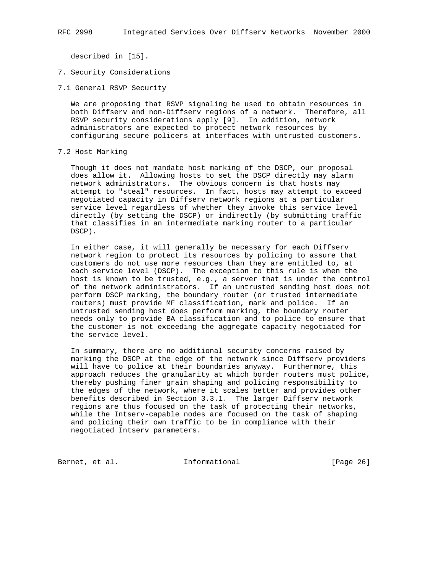described in [15].

- 7. Security Considerations
- 7.1 General RSVP Security

 We are proposing that RSVP signaling be used to obtain resources in both Diffserv and non-Diffserv regions of a network. Therefore, all RSVP security considerations apply [9]. In addition, network administrators are expected to protect network resources by configuring secure policers at interfaces with untrusted customers.

#### 7.2 Host Marking

 Though it does not mandate host marking of the DSCP, our proposal does allow it. Allowing hosts to set the DSCP directly may alarm network administrators. The obvious concern is that hosts may attempt to "steal" resources. In fact, hosts may attempt to exceed negotiated capacity in Diffserv network regions at a particular service level regardless of whether they invoke this service level directly (by setting the DSCP) or indirectly (by submitting traffic that classifies in an intermediate marking router to a particular DSCP).

 In either case, it will generally be necessary for each Diffserv network region to protect its resources by policing to assure that customers do not use more resources than they are entitled to, at each service level (DSCP). The exception to this rule is when the host is known to be trusted, e.g., a server that is under the control of the network administrators. If an untrusted sending host does not perform DSCP marking, the boundary router (or trusted intermediate routers) must provide MF classification, mark and police. If an untrusted sending host does perform marking, the boundary router needs only to provide BA classification and to police to ensure that the customer is not exceeding the aggregate capacity negotiated for the service level.

 In summary, there are no additional security concerns raised by marking the DSCP at the edge of the network since Diffserv providers will have to police at their boundaries anyway. Furthermore, this approach reduces the granularity at which border routers must police, thereby pushing finer grain shaping and policing responsibility to the edges of the network, where it scales better and provides other benefits described in Section 3.3.1. The larger Diffserv network regions are thus focused on the task of protecting their networks, while the Intserv-capable nodes are focused on the task of shaping and policing their own traffic to be in compliance with their negotiated Intserv parameters.

Bernet, et al. **Informational** [Page 26]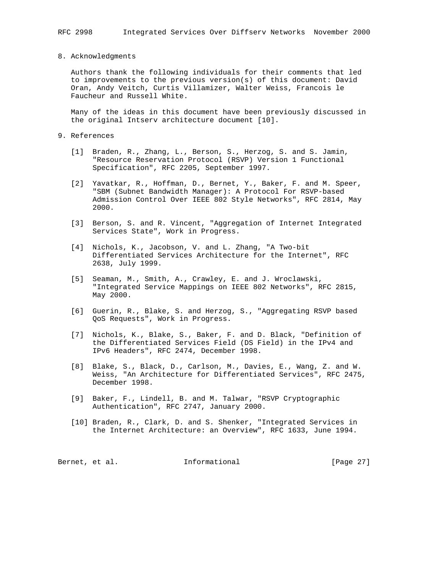#### 8. Acknowledgments

 Authors thank the following individuals for their comments that led to improvements to the previous version(s) of this document: David Oran, Andy Veitch, Curtis Villamizer, Walter Weiss, Francois le Faucheur and Russell White.

 Many of the ideas in this document have been previously discussed in the original Intserv architecture document [10].

#### 9. References

- [1] Braden, R., Zhang, L., Berson, S., Herzog, S. and S. Jamin, "Resource Reservation Protocol (RSVP) Version 1 Functional Specification", RFC 2205, September 1997.
- [2] Yavatkar, R., Hoffman, D., Bernet, Y., Baker, F. and M. Speer, "SBM (Subnet Bandwidth Manager): A Protocol For RSVP-based Admission Control Over IEEE 802 Style Networks", RFC 2814, May 2000.
- [3] Berson, S. and R. Vincent, "Aggregation of Internet Integrated Services State", Work in Progress.
- [4] Nichols, K., Jacobson, V. and L. Zhang, "A Two-bit Differentiated Services Architecture for the Internet", RFC 2638, July 1999.
- [5] Seaman, M., Smith, A., Crawley, E. and J. Wroclawski, "Integrated Service Mappings on IEEE 802 Networks", RFC 2815, May 2000.
- [6] Guerin, R., Blake, S. and Herzog, S., "Aggregating RSVP based QoS Requests", Work in Progress.
- [7] Nichols, K., Blake, S., Baker, F. and D. Black, "Definition of the Differentiated Services Field (DS Field) in the IPv4 and IPv6 Headers", RFC 2474, December 1998.
- [8] Blake, S., Black, D., Carlson, M., Davies, E., Wang, Z. and W. Weiss, "An Architecture for Differentiated Services", RFC 2475, December 1998.
- [9] Baker, F., Lindell, B. and M. Talwar, "RSVP Cryptographic Authentication", RFC 2747, January 2000.
- [10] Braden, R., Clark, D. and S. Shenker, "Integrated Services in the Internet Architecture: an Overview", RFC 1633, June 1994.

| Bernet, et al. | Informational | [Page 27] |
|----------------|---------------|-----------|
|                |               |           |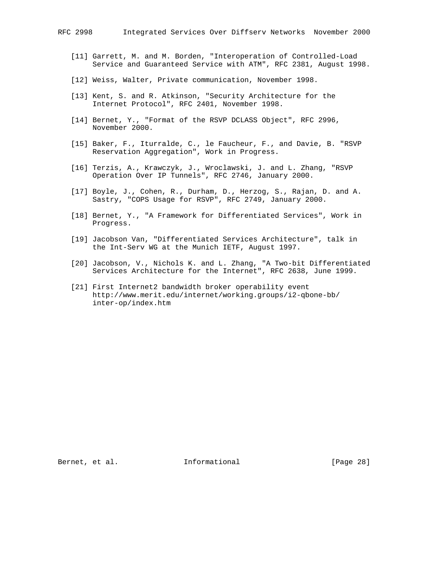- [11] Garrett, M. and M. Borden, "Interoperation of Controlled-Load Service and Guaranteed Service with ATM", RFC 2381, August 1998.
- [12] Weiss, Walter, Private communication, November 1998.
- [13] Kent, S. and R. Atkinson, "Security Architecture for the Internet Protocol", RFC 2401, November 1998.
- [14] Bernet, Y., "Format of the RSVP DCLASS Object", RFC 2996, November 2000.
- [15] Baker, F., Iturralde, C., le Faucheur, F., and Davie, B. "RSVP Reservation Aggregation", Work in Progress.
- [16] Terzis, A., Krawczyk, J., Wroclawski, J. and L. Zhang, "RSVP Operation Over IP Tunnels", RFC 2746, January 2000.
- [17] Boyle, J., Cohen, R., Durham, D., Herzog, S., Rajan, D. and A. Sastry, "COPS Usage for RSVP", RFC 2749, January 2000.
- [18] Bernet, Y., "A Framework for Differentiated Services", Work in Progress.
- [19] Jacobson Van, "Differentiated Services Architecture", talk in the Int-Serv WG at the Munich IETF, August 1997.
- [20] Jacobson, V., Nichols K. and L. Zhang, "A Two-bit Differentiated Services Architecture for the Internet", RFC 2638, June 1999.
- [21] First Internet2 bandwidth broker operability event http://www.merit.edu/internet/working.groups/i2-qbone-bb/ inter-op/index.htm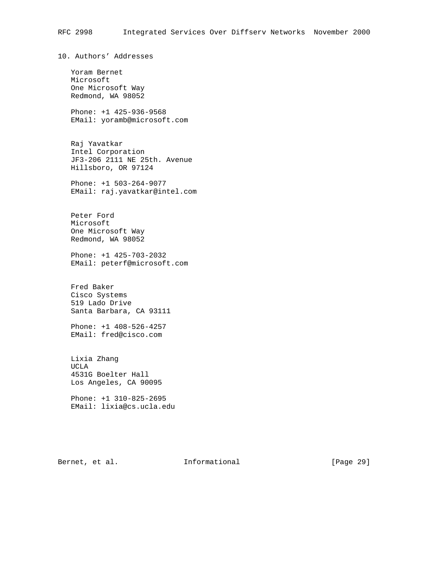10. Authors' Addresses

 Yoram Bernet Microsoft One Microsoft Way Redmond, WA 98052

 Phone: +1 425-936-9568 EMail: yoramb@microsoft.com

 Raj Yavatkar Intel Corporation JF3-206 2111 NE 25th. Avenue Hillsboro, OR 97124

 Phone: +1 503-264-9077 EMail: raj.yavatkar@intel.com

 Peter Ford Microsoft One Microsoft Way Redmond, WA 98052

 Phone: +1 425-703-2032 EMail: peterf@microsoft.com

 Fred Baker Cisco Systems 519 Lado Drive Santa Barbara, CA 93111

 Phone: +1 408-526-4257 EMail: fred@cisco.com

 Lixia Zhang UCLA 4531G Boelter Hall Los Angeles, CA 90095

 Phone: +1 310-825-2695 EMail: lixia@cs.ucla.edu

Bernet, et al. **Informational** [Page 29]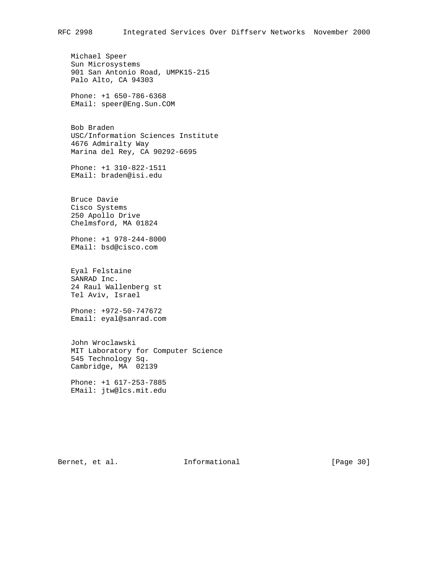Michael Speer Sun Microsystems 901 San Antonio Road, UMPK15-215 Palo Alto, CA 94303

 Phone: +1 650-786-6368 EMail: speer@Eng.Sun.COM

 Bob Braden USC/Information Sciences Institute 4676 Admiralty Way Marina del Rey, CA 90292-6695

 Phone: +1 310-822-1511 EMail: braden@isi.edu

 Bruce Davie Cisco Systems 250 Apollo Drive Chelmsford, MA 01824

 Phone: +1 978-244-8000 EMail: bsd@cisco.com

 Eyal Felstaine SANRAD Inc. 24 Raul Wallenberg st Tel Aviv, Israel

 Phone: +972-50-747672 Email: eyal@sanrad.com

 John Wroclawski MIT Laboratory for Computer Science 545 Technology Sq. Cambridge, MA 02139

 Phone: +1 617-253-7885 EMail: jtw@lcs.mit.edu

Bernet, et al. 1nformational [Page 30]